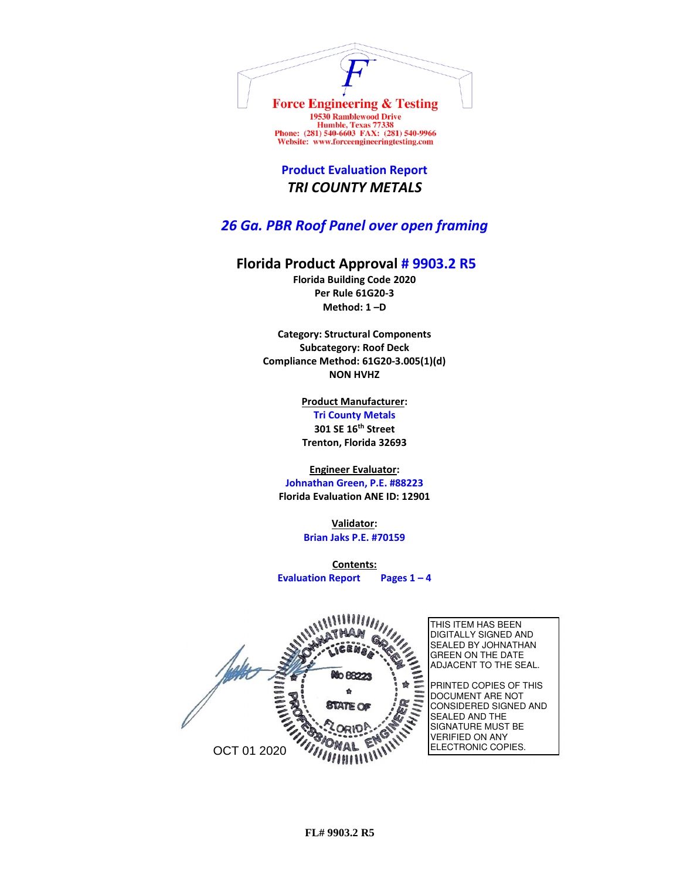

Humble, Texas 77338<br>Phone: (281) 540-6603 FAX: (281) 540-9966 Website: www.forceengineeringtesting.com

**Product Evaluation Report** *TRI COUNTY METALS*

*26 Ga. PBR Roof Panel over open framing*

## **Florida Product Approval # 9903.2 R5**

**Florida Building Code 2020 Per Rule 61G20-3 Method: 1 –D** 

**Category: Structural Components Subcategory: Roof Deck Compliance Method: 61G20-3.005(1)(d) NON HVHZ**

> **Product Manufacturer: Tri County Metals 301 SE 16th Street Trenton, Florida 32693**

**Engineer Evaluator:**

**Johnathan Green, P.E. #88223 Florida Evaluation ANE ID: 12901**

> **Validator: Brian Jaks P.E. #70159**

**Contents: Evaluation Report Pages 1 – 4**

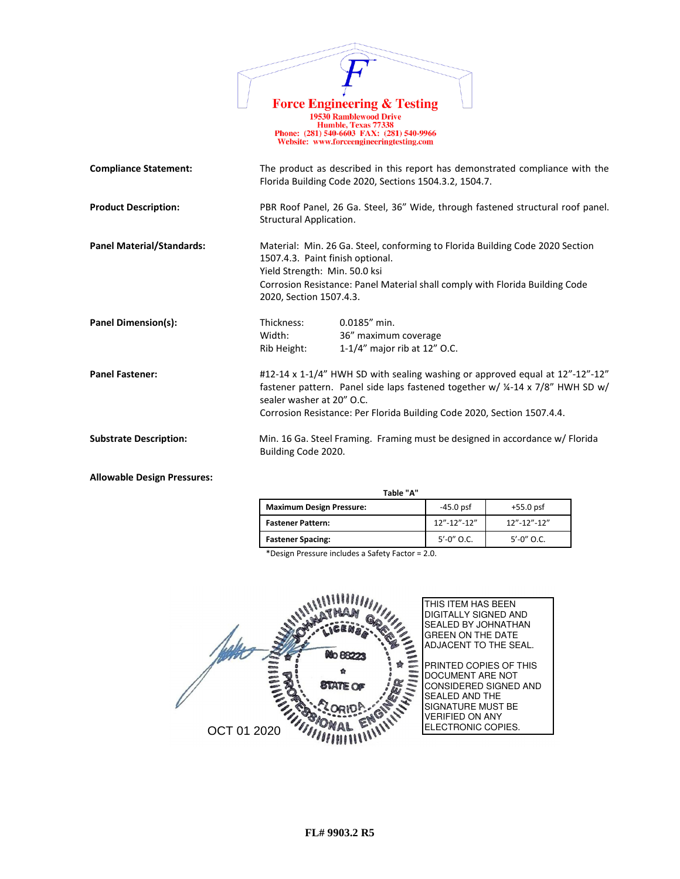|                                  | <b>Force Engineering &amp; Testing</b>                                                                                                        |
|----------------------------------|-----------------------------------------------------------------------------------------------------------------------------------------------|
|                                  | <b>19530 Ramblewood Drive</b><br>Humble, Texas 77338<br>Phone: (281) 540-6603 FAX: (281) 540-9966<br>Website: www.forceengineeringtesting.com |
| <b>Compliance Statement:</b>     | The product as described in this report has demonstrated compliance with the<br>Florida Building Code 2020, Sections 1504.3.2, 1504.7.        |
| <b>Product Description:</b>      | PBR Roof Panel, 26 Ga. Steel, 36" Wide, through fastened structural roof panel.<br>Structural Application.                                    |
| <b>Panel Material/Standards:</b> | Material: Min. 26 Ga. Steel, conforming to Florida Building Code 2020 Section<br>1507.4.3. Paint finish optional.                             |

Yield Strength: Min. 50.0 ksi Corrosion Resistance: Panel Material shall comply with Florida Building Code 2020, Section 1507.4.3.

36" maximum coverage

Rib Height: 1-1/4" major rib at 12" O.C.

sealer washer at 20" O.C.

Building Code 2020.

**Panel Dimension(s):** Thickness: 0.0185<sup>"</sup> min.<br>Width: 36<sup>"</sup> maximun

**Panel Fastener:**  $\#12-14 \times 1-1/4$ " HWH SD with sealing washing or approved equal at 12"-12" +12"

**Substrate Description:** Min. 16 Ga. Steel Framing. Framing must be designed in accordance w/ Florida

**Allowable Design Pressures:**

 **Table "A"**

| <b>Maximum Design Pressure:</b> | $-45.0$ psf       | $+55.0$ psf       |
|---------------------------------|-------------------|-------------------|
| <b>Fastener Pattern:</b>        | $12" - 12" - 12"$ | $12" - 12" - 12"$ |
| <b>Fastener Spacing:</b>        | $5' - 0''$ O.C.   | $5' - 0''$ O.C.   |

Corrosion Resistance: Per Florida Building Code 2020, Section 1507.4.4.

fastener pattern. Panel side laps fastened together w/ ¼-14 x 7/8" HWH SD w/

\*Design Pressure includes a Safety Factor = 2.0.

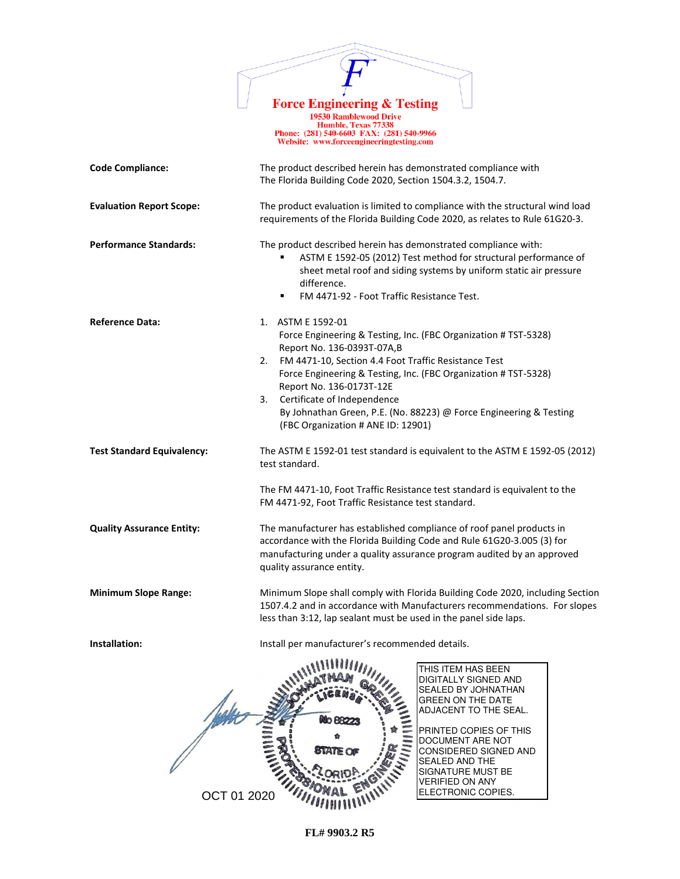

Force Engineering & Testing<br>
19530 Ramblewood Drive<br>
Humble, Texas 77338<br>
Phone: (281) 540-6603 FAX: (281) 540-9966<br>
Website: www.forceengineeringtesting.com

| <b>Code Compliance:</b>           | The product described herein has demonstrated compliance with<br>The Florida Building Code 2020, Section 1504.3.2, 1504.7.                                                                                                                                                                                                                                                                                                       |  |  |
|-----------------------------------|----------------------------------------------------------------------------------------------------------------------------------------------------------------------------------------------------------------------------------------------------------------------------------------------------------------------------------------------------------------------------------------------------------------------------------|--|--|
| <b>Evaluation Report Scope:</b>   | The product evaluation is limited to compliance with the structural wind load<br>requirements of the Florida Building Code 2020, as relates to Rule 61G20-3.                                                                                                                                                                                                                                                                     |  |  |
| <b>Performance Standards:</b>     | The product described herein has demonstrated compliance with:<br>ASTM E 1592-05 (2012) Test method for structural performance of<br>sheet metal roof and siding systems by uniform static air pressure<br>difference.<br>FM 4471-92 - Foot Traffic Resistance Test.<br>٠                                                                                                                                                        |  |  |
| <b>Reference Data:</b>            | 1. ASTM E 1592-01<br>Force Engineering & Testing, Inc. (FBC Organization # TST-5328)<br>Report No. 136-0393T-07A,B<br>2.<br>FM 4471-10, Section 4.4 Foot Traffic Resistance Test<br>Force Engineering & Testing, Inc. (FBC Organization # TST-5328)<br>Report No. 136-0173T-12E<br>Certificate of Independence<br>3.<br>By Johnathan Green, P.E. (No. 88223) @ Force Engineering & Testing<br>(FBC Organization # ANE ID: 12901) |  |  |
| <b>Test Standard Equivalency:</b> | The ASTM E 1592-01 test standard is equivalent to the ASTM E 1592-05 (2012)<br>test standard.                                                                                                                                                                                                                                                                                                                                    |  |  |
|                                   | The FM 4471-10, Foot Traffic Resistance test standard is equivalent to the<br>FM 4471-92, Foot Traffic Resistance test standard.                                                                                                                                                                                                                                                                                                 |  |  |
| <b>Quality Assurance Entity:</b>  | The manufacturer has established compliance of roof panel products in<br>accordance with the Florida Building Code and Rule 61G20-3.005 (3) for<br>manufacturing under a quality assurance program audited by an approved<br>quality assurance entity.                                                                                                                                                                           |  |  |
| <b>Minimum Slope Range:</b>       | Minimum Slope shall comply with Florida Building Code 2020, including Section<br>1507.4.2 and in accordance with Manufacturers recommendations. For slopes<br>less than 3:12, lap sealant must be used in the panel side laps.                                                                                                                                                                                                   |  |  |
| Installation:                     | Install per manufacturer's recommended details.                                                                                                                                                                                                                                                                                                                                                                                  |  |  |
|                                   | $A$ <b><math>B</math></b> $B$ $A$<br>THIS ITEM HAS BEEN<br>DIGITALLY SIGNED AND<br>SEALED BY JOHNATHAN<br><b>GREEN ON THE DATE</b><br>ADJACENT TO THE SEAL.<br>මීට පිපිට<br>PRINTED COPIES OF THIS<br>DOCUMENT ARE NOT<br>CONSIDERED SIGNED AND<br><b>SEALED AND THE</b><br><b>SIGNATURE MUST BE</b><br><b>VERIFIED ON ANY</b>                                                                                                   |  |  |

**FL# 9903.2 R5**

ELECTRONIC COPIES.

OCT 01 2020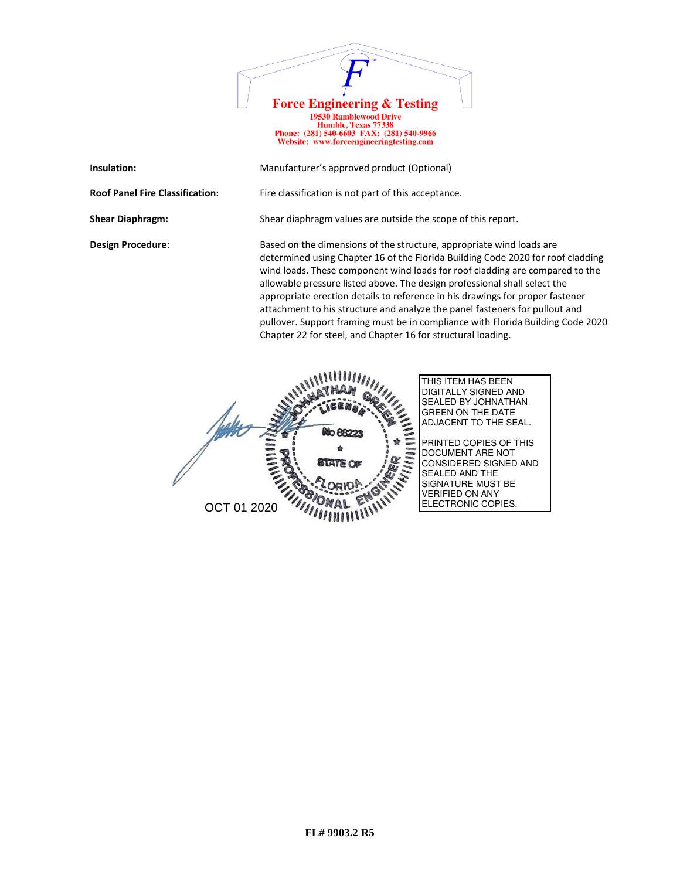

19730 Ramblewood Drive<br>
Humble, Texas 77338<br>
Phone: (281) 540-6603 FAX: (281) 540-9966<br>
Website: www.forceengineeringtesting.com

| Insulation:                            | Manufacturer's approved product (Optional)                                                                                                                                                                                                                                                                                                                                                                                                                                                                                                                                                                                              |
|----------------------------------------|-----------------------------------------------------------------------------------------------------------------------------------------------------------------------------------------------------------------------------------------------------------------------------------------------------------------------------------------------------------------------------------------------------------------------------------------------------------------------------------------------------------------------------------------------------------------------------------------------------------------------------------------|
| <b>Roof Panel Fire Classification:</b> | Fire classification is not part of this acceptance.                                                                                                                                                                                                                                                                                                                                                                                                                                                                                                                                                                                     |
| <b>Shear Diaphragm:</b>                | Shear diaphragm values are outside the scope of this report.                                                                                                                                                                                                                                                                                                                                                                                                                                                                                                                                                                            |
| <b>Design Procedure:</b>               | Based on the dimensions of the structure, appropriate wind loads are<br>determined using Chapter 16 of the Florida Building Code 2020 for roof cladding<br>wind loads. These component wind loads for roof cladding are compared to the<br>allowable pressure listed above. The design professional shall select the<br>appropriate erection details to reference in his drawings for proper fastener<br>attachment to his structure and analyze the panel fasteners for pullout and<br>pullover. Support framing must be in compliance with Florida Building Code 2020<br>Chapter 22 for steel, and Chapter 16 for structural loading. |